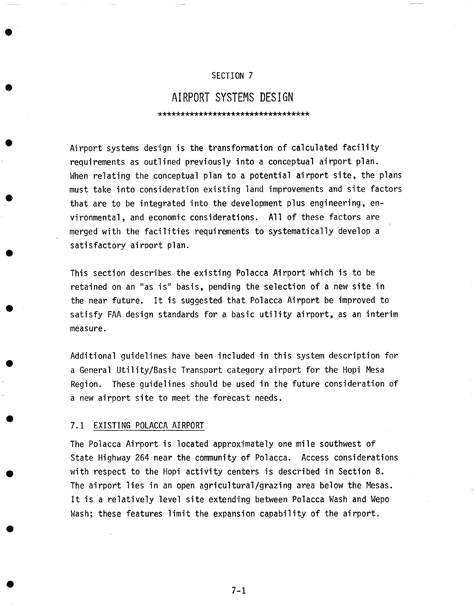## SECTION 7

# **AIRPORT SYSTEMS DESIGN**

\*\*\*\*\*\*\*\*\*\*\*\*\*\*\*\*\*\*\*\*\*\*\*\*\*\*\*\*\*\*\*\*\*

Airport systems design is the transformation of calculated facility requirements as outlined previously into a conceptual airport plan. When relating the conceptual plan to a potential airport site, the plans must take into consideration existing land improvements and site factors that are to be integrated into the development plus engineering, environmental, and economic considerations. All of these factors are merged with the facilities requirements to systematically develop a satisfactory airport plan.

This section describes the existing Polacca Airport which is to be retained on an "as is" basis, pending the selection of a new site in the near future. It is suggested that Polacca Airport be improved to satisfy FAA design standards for a basic utility airport, as an interim measure.

Additional guidelines have been included in this system description for a General Utility/Basic Transport category airport for the Hopi Mesa Region. These guidelines should be used in the future consideration of a new airport site to meet the forecast needs.

#### 7.1 EXISTING POLACCA AIRPORT

The Polacca Airport is located approximately one mile southwest of State Highway 264 near the community of Polacca. Access considerations with respect to the Hopi activity centers is described in Section 8. The airport lies in an open agricultural/grazing area below the Mesas. It is a relatively level site extending between Polacca Wash and Wepo Wash; these features limit the expansion capability of the airport.

7-1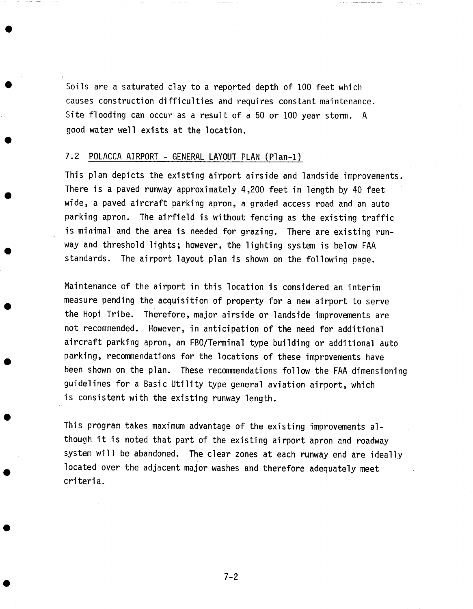Soils are a saturated clay to a reported depth of 100 feet which causes construction difficulties and requires constant maintenance. Site flooding can occur as a result of a 50 or I00 year storm. A good water well exists at the location.

## 7.2 POLACCA AIRPORT - GENERAL LAYOUT PLAN (Plan-1)

This plan depicts the existing airport airside and landside improvements. There is a paved runway approximately 4,200 feet in length by 40 feet wide, a paved aircraft parking apron, a graded access road and an auto parking apron. The airfield is without fencing as the existing traffic is minimal and the area is needed for grazing. There are existing runway and threshold lights; however, the lighting system is below FAA standards. The airport layout plan is shown on the following page.

Maintenance of the airport in this location is considered an interim measure pending the acquisition of property for a new airport to serve the Hopi Tribe. Therefore, major airside or landside improvements are not recommended. However, in anticipation of the need for additional aircraft parking apron, an FBO/Terminal type building or additional auto parking, recommendations for the locations of these improvements have been shown on the plan. These recommendations follow the FAA dimensioning guidelines for a Basic Utility type general aviation airport, which is consistent with the existing runway length.

This program takes maximum advantage of the existing improvements although it is noted that part of the existing airport apron and roadway system will be abandoned. The clear zones at each runway end are ideally located over the adjacent major washes and therefore adequately meet criteria.

7-2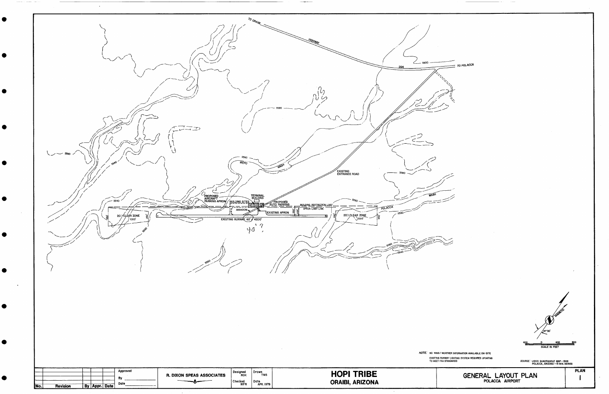| TERMINAL<br>BUILDING<br>PROPOSED<br>AIRCRAFT<br>PARKING APRON BUILDING SITES<br>$-5540$<br><b>AUTO PARKING</b><br>45<br>BUILDING RESTRICTION LINE<br>POLACCA<br>ABANDON<br><b>LEXISTING APRON</b><br>5580<br>20.1 CLEAR ZONE<br>20.1 CLÉAR ZONE<br>EXISTING RUNWAY 60' / 4200'<br>40 |
|--------------------------------------------------------------------------------------------------------------------------------------------------------------------------------------------------------------------------------------------------------------------------------------|
|                                                                                                                                                                                                                                                                                      |
| NOTE: NO WIND/WEATHER INF                                                                                                                                                                                                                                                            |

 $\sim$   $\sim$   $\sim$   $\sim$ 

 $\label{eq:recon} \begin{array}{lllllllllllll} \multicolumn{3}{l}{} & \multicolumn{3}{l}{} & \multicolumn{3}{l}{} & \multicolumn{3}{l}{} & \multicolumn{3}{l}{} & \multicolumn{3}{l}{} & \multicolumn{3}{l}{} & \multicolumn{3}{l}{} & \multicolumn{3}{l}{} & \multicolumn{3}{l}{} & \multicolumn{3}{l}{} & \multicolumn{3}{l}{} & \multicolumn{3}{l}{} & \multicolumn{3}{l}{} & \multicolumn{3}{l}{} & \multicolumn{3}{l}{} & \multicolumn{3}{l}{} & \multicolumn{3}{l}{} & \$ 

 $\equiv$  TO POLACCA

> $\mathscr{D}^*$ 0<br>SCALE IN FEET <u>400 - مست</u>

R INFORMATION AVAILABLE ON-SITE .IGHTING SYSTEM REQUIRES UPDATING<br>IARDS

SOURCE: USGS QUADRANGLE MAP - 1966<br>POLACCA, ARIZONA - 15 MIN. SERIES

GENERAL LAYOUT PLAN

**PLAN**  $\mathbf{I}$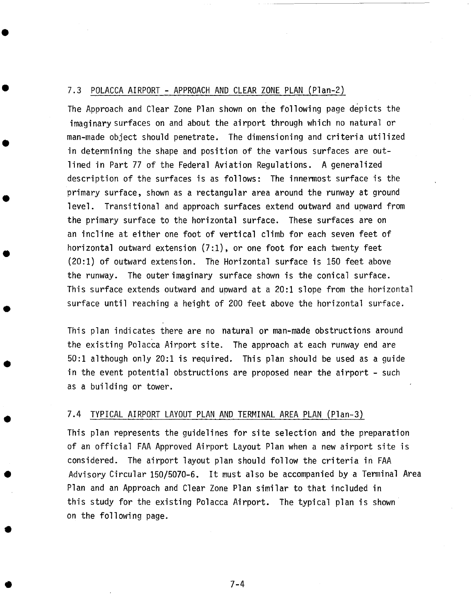#### 7.3 POLACCA AIRPORT **-** APPROACH AND CLEAR ZONE PLAN (Plan-2)

The Approach and Clear Zone Plan shown on the following page depicts the imaginary surfaces on and about the airport through which no natural or man-made object should penetrate. The dimensioning and criteria utilized in determining the shape and position of the various surfaces are outlined in Part 77 of the Federal Aviation Regulations. A generalized description of the surfaces is as follows: The innermost surface is the primary surface, shown as a rectangular area around the runway at ground level. Transitional and approach surfaces extend outward and upward from the primary surface to the horizontal surface. These surfaces are on an incline at either one foot of vertical climb for each seven feet of horizontal outward extension (7:1), or one foot for each twenty feet (20:1) of outward extension. The Horizontal surface is 150 feet above the runway. The outer imaginary surface shown is the conical surface. This surface extends outward and upward at a 20:1 slope from the horizontal surface until reaching a height of 200 feet above the horizontal surface.

This plan indicates there are no natural or man-made obstructions around the existing Polacca Airport site. The approach at each runway end are 50:1 although only 20:1 is required. This plan should be used as a guide in the event potential obstructions are proposed near the airport - such as a building or tower.

### 7.4 TYPICAL AIRPORT LAYOUT PLAN AND TERMINAL AREA PLAN (Plan-3)

This plan represents the guidelines for site selection and the preparation of an official FAA Approved Airport Layout Plan when a new airport site is considered. The airport layout plan should follow the criteria in FAA Advisory Circular 150/5070-6. It must also be accompanied by a Terminal Area Plan and an Approach and Clear Zone Plan similar to that included in this study for the existing Polacca Airport. The typical plan is shown on the following page.

7-4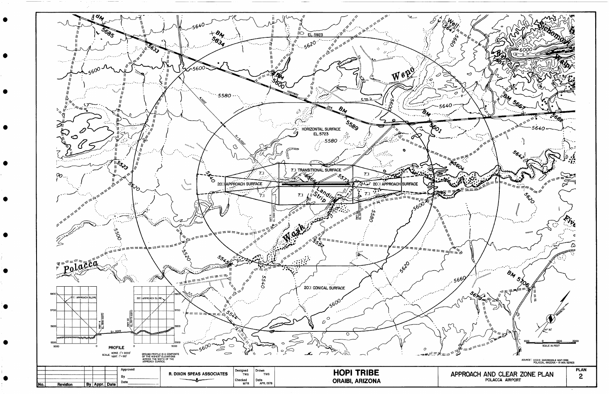

 $\bullet$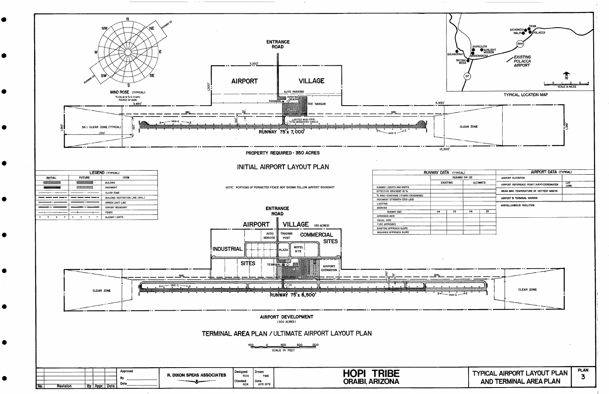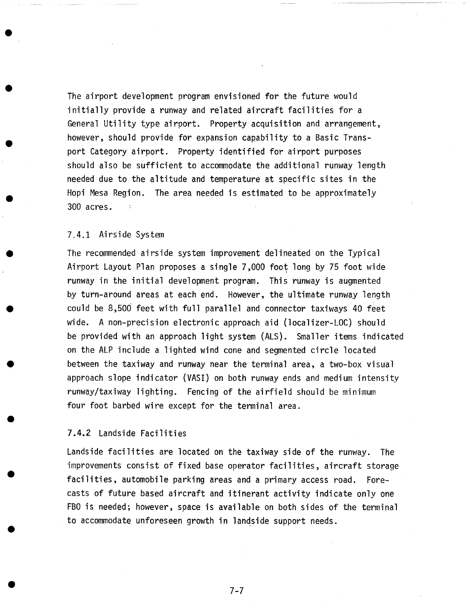The airport development program envisioned for the future would initially provide a runway and related aircraft facilities for a General Utility type airport. Property acquisition and arrangement, however, should provide for expansion capability to a Basic Transport Category airport. Property identified for airport purposes should also be sufficient to accommodate the additional runway length needed due to the altitude and temperature at specific sites in the Hopi Mesa Region. The area needed is estimated to be approximately 300 acres.

## 7.4.1 Airside System

The recommended airside system improvement delineated on the Typical Airport Layout Plan proposes a single 7,000 foot long by 75 foot wide runway in the initial development program. This runway is augmented by turn-around areas at each end. However, the ultimate runway length could be 8,500 feet with full parallel and connector taxiways 40 feet wide. A non-precision electronic approach aid (localizer-LOC) should be provided with an approach light system (ALS). Smaller items indicated on the ALP include a lighted wind cone and segmented circle located between the taxiway and runway near the terminal area, a two-box visual approach slope indicator (VASI) on both runway ends and medium intensity runway/taxiway lighting. Fencing of the airfield should be minimum four foot barbed wire except for the terminal area.

## 7.4.2 Landside Facilities

Landside facilities are located on the taxiway side of the runway. The improvements consist of fixed base operator facilities, aircraft storage facilities, automobile parking areas and a primary access road. Forecasts of future based aircraft and itinerant activity indicate only one FBO is needed; however, space is available on both sides of the terminal to accommodate unforeseen growth in landside support needs.